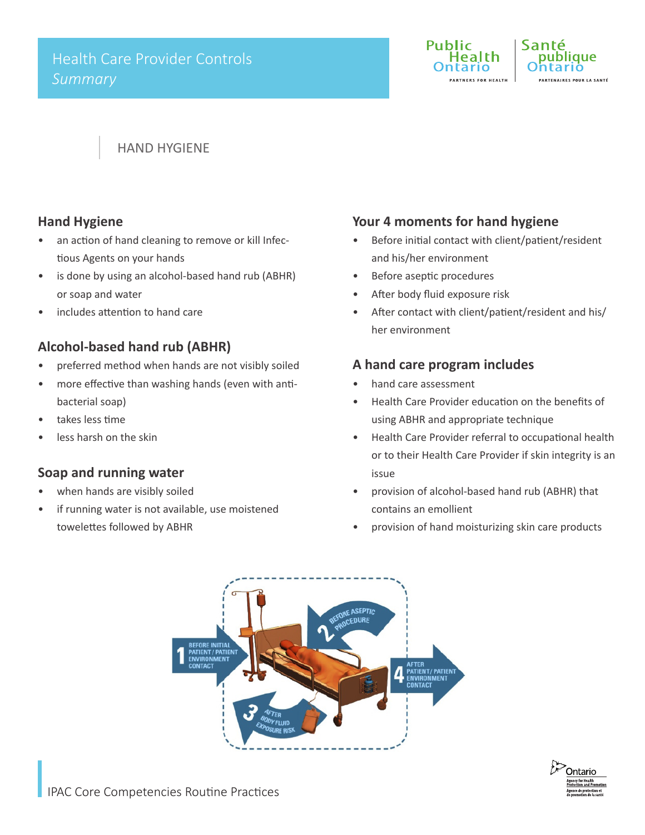

# HAND HYGIENE

### **Hand Hygiene**

- an action of hand cleaning to remove or kill Infectious Agents on your hands
- is done by using an alcohol-based hand rub (ABHR) or soap and water
- includes attention to hand care

# **Alcohol-based hand rub (ABHR)**

- preferred method when hands are not visibly soiled
- more effective than washing hands (even with antibacterial soap)
- takes less time
- less harsh on the skin

# **Soap and running water**

- when hands are visibly soiled
- if running water is not available, use moistened towelettes followed by ABHR

# **Your 4 moments for hand hygiene**

- • Before initial contact with client/patient/resident and his/her environment
- Before aseptic procedures
- After body fluid exposure risk
- After contact with client/patient/resident and his/ her environment

### **A hand care program includes**

- hand care assessment
- Health Care Provider education on the benefits of using ABHR and appropriate technique
- Health Care Provider referral to occupational health or to their Health Care Provider if skin integrity is an issue
- provision of alcohol-based hand rub (ABHR) that contains an emollient
- provision of hand moisturizing skin care products